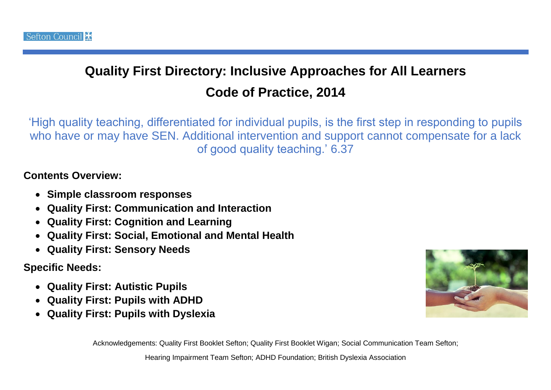## **Quality First Directory: Inclusive Approaches for All Learners Code of Practice, 2014**

'High quality teaching, differentiated for individual pupils, is the first step in responding to pupils who have or may have SEN. Additional intervention and support cannot compensate for a lack of good quality teaching.' 6.37

## **Contents Overview:**

- **Simple classroom responses**
- **Quality First: Communication and Interaction**
- **Quality First: Cognition and Learning**
- **Quality First: Social, Emotional and Mental Health**
- **Quality First: Sensory Needs**

## **Specific Needs:**

- **Quality First: Autistic Pupils**
- **Quality First: Pupils with ADHD**
- **Quality First: Pupils with Dyslexia**



Acknowledgements: Quality First Booklet Sefton; Quality First Booklet Wigan; Social Communication Team Sefton;

Hearing Impairment Team Sefton; ADHD Foundation; British Dyslexia Association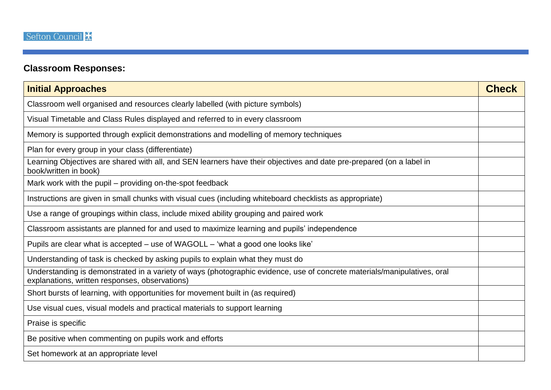## **Classroom Responses:**

| <b>Initial Approaches</b>                                                                                                                                                  | <b>Check</b> |
|----------------------------------------------------------------------------------------------------------------------------------------------------------------------------|--------------|
| Classroom well organised and resources clearly labelled (with picture symbols)                                                                                             |              |
| Visual Timetable and Class Rules displayed and referred to in every classroom                                                                                              |              |
| Memory is supported through explicit demonstrations and modelling of memory techniques                                                                                     |              |
| Plan for every group in your class (differentiate)                                                                                                                         |              |
| Learning Objectives are shared with all, and SEN learners have their objectives and date pre-prepared (on a label in<br>book/written in book)                              |              |
| Mark work with the pupil – providing on-the-spot feedback                                                                                                                  |              |
| Instructions are given in small chunks with visual cues (including whiteboard checklists as appropriate)                                                                   |              |
| Use a range of groupings within class, include mixed ability grouping and paired work                                                                                      |              |
| Classroom assistants are planned for and used to maximize learning and pupils' independence                                                                                |              |
| Pupils are clear what is accepted – use of WAGOLL – 'what a good one looks like'                                                                                           |              |
| Understanding of task is checked by asking pupils to explain what they must do                                                                                             |              |
| Understanding is demonstrated in a variety of ways (photographic evidence, use of concrete materials/manipulatives, oral<br>explanations, written responses, observations) |              |
| Short bursts of learning, with opportunities for movement built in (as required)                                                                                           |              |
| Use visual cues, visual models and practical materials to support learning                                                                                                 |              |
| Praise is specific                                                                                                                                                         |              |
| Be positive when commenting on pupils work and efforts                                                                                                                     |              |
| Set homework at an appropriate level                                                                                                                                       |              |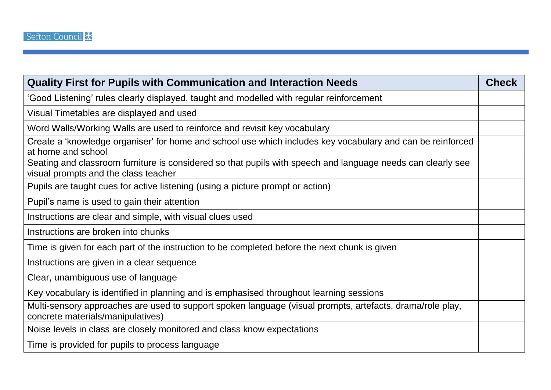| <b>Quality First for Pupils with Communication and Interaction Needs</b>                                                                            | <b>Check</b> |
|-----------------------------------------------------------------------------------------------------------------------------------------------------|--------------|
| 'Good Listening' rules clearly displayed, taught and modelled with regular reinforcement                                                            |              |
| Visual Timetables are displayed and used                                                                                                            |              |
| Word Walls/Working Walls are used to reinforce and revisit key vocabulary                                                                           |              |
| Create a 'knowledge organiser' for home and school use which includes key vocabulary and can be reinforced<br>at home and school                    |              |
| Seating and classroom furniture is considered so that pupils with speech and language needs can clearly see<br>visual prompts and the class teacher |              |
| Pupils are taught cues for active listening (using a picture prompt or action)                                                                      |              |
| Pupil's name is used to gain their attention                                                                                                        |              |
| Instructions are clear and simple, with visual clues used                                                                                           |              |
| Instructions are broken into chunks                                                                                                                 |              |
| Time is given for each part of the instruction to be completed before the next chunk is given                                                       |              |
| Instructions are given in a clear sequence                                                                                                          |              |
| Clear, unambiguous use of language                                                                                                                  |              |
| Key vocabulary is identified in planning and is emphasised throughout learning sessions                                                             |              |
| Multi-sensory approaches are used to support spoken language (visual prompts, artefacts, drama/role play,<br>concrete materials/manipulatives)      |              |
| Noise levels in class are closely monitored and class know expectations                                                                             |              |
| Time is provided for pupils to process language                                                                                                     |              |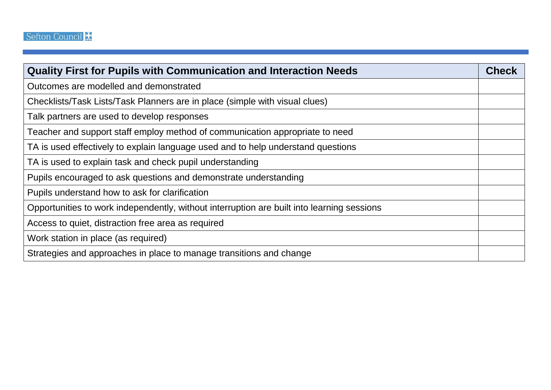| <b>Quality First for Pupils with Communication and Interaction Needs</b>                   | <b>Check</b> |
|--------------------------------------------------------------------------------------------|--------------|
| Outcomes are modelled and demonstrated                                                     |              |
| Checklists/Task Lists/Task Planners are in place (simple with visual clues)                |              |
| Talk partners are used to develop responses                                                |              |
| Teacher and support staff employ method of communication appropriate to need               |              |
| TA is used effectively to explain language used and to help understand questions           |              |
| TA is used to explain task and check pupil understanding                                   |              |
| Pupils encouraged to ask questions and demonstrate understanding                           |              |
| Pupils understand how to ask for clarification                                             |              |
| Opportunities to work independently, without interruption are built into learning sessions |              |
| Access to quiet, distraction free area as required                                         |              |
| Work station in place (as required)                                                        |              |
| Strategies and approaches in place to manage transitions and change                        |              |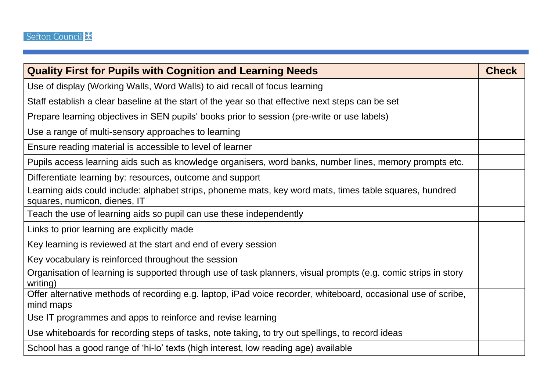| <b>Quality First for Pupils with Cognition and Learning Needs</b>                                                                       | <b>Check</b> |
|-----------------------------------------------------------------------------------------------------------------------------------------|--------------|
| Use of display (Working Walls, Word Walls) to aid recall of focus learning                                                              |              |
| Staff establish a clear baseline at the start of the year so that effective next steps can be set                                       |              |
| Prepare learning objectives in SEN pupils' books prior to session (pre-write or use labels)                                             |              |
| Use a range of multi-sensory approaches to learning                                                                                     |              |
| Ensure reading material is accessible to level of learner                                                                               |              |
| Pupils access learning aids such as knowledge organisers, word banks, number lines, memory prompts etc.                                 |              |
| Differentiate learning by: resources, outcome and support                                                                               |              |
| Learning aids could include: alphabet strips, phoneme mats, key word mats, times table squares, hundred<br>squares, numicon, dienes, IT |              |
| Teach the use of learning aids so pupil can use these independently                                                                     |              |
| Links to prior learning are explicitly made                                                                                             |              |
| Key learning is reviewed at the start and end of every session                                                                          |              |
| Key vocabulary is reinforced throughout the session                                                                                     |              |
| Organisation of learning is supported through use of task planners, visual prompts (e.g. comic strips in story<br>writing)              |              |
| Offer alternative methods of recording e.g. laptop, iPad voice recorder, whiteboard, occasional use of scribe,<br>mind maps             |              |
| Use IT programmes and apps to reinforce and revise learning                                                                             |              |
| Use whiteboards for recording steps of tasks, note taking, to try out spellings, to record ideas                                        |              |
| School has a good range of 'hi-lo' texts (high interest, low reading age) available                                                     |              |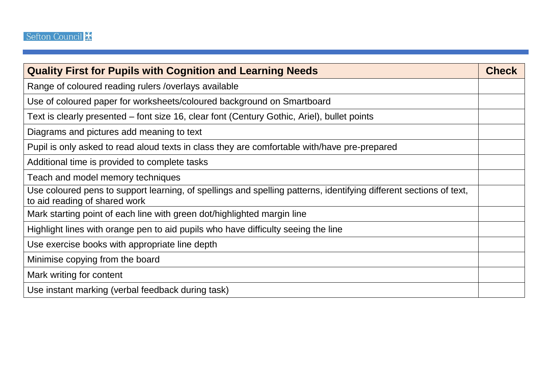| <b>Quality First for Pupils with Cognition and Learning Needs</b>                                                                                   | <b>Check</b> |
|-----------------------------------------------------------------------------------------------------------------------------------------------------|--------------|
| Range of coloured reading rulers / overlays available                                                                                               |              |
| Use of coloured paper for worksheets/coloured background on Smartboard                                                                              |              |
| Text is clearly presented – font size 16, clear font (Century Gothic, Ariel), bullet points                                                         |              |
| Diagrams and pictures add meaning to text                                                                                                           |              |
| Pupil is only asked to read aloud texts in class they are comfortable with/have pre-prepared                                                        |              |
| Additional time is provided to complete tasks                                                                                                       |              |
| Teach and model memory techniques                                                                                                                   |              |
| Use coloured pens to support learning, of spellings and spelling patterns, identifying different sections of text,<br>to aid reading of shared work |              |
| Mark starting point of each line with green dot/highlighted margin line                                                                             |              |
| Highlight lines with orange pen to aid pupils who have difficulty seeing the line                                                                   |              |
| Use exercise books with appropriate line depth                                                                                                      |              |
| Minimise copying from the board                                                                                                                     |              |
| Mark writing for content                                                                                                                            |              |
| Use instant marking (verbal feedback during task)                                                                                                   |              |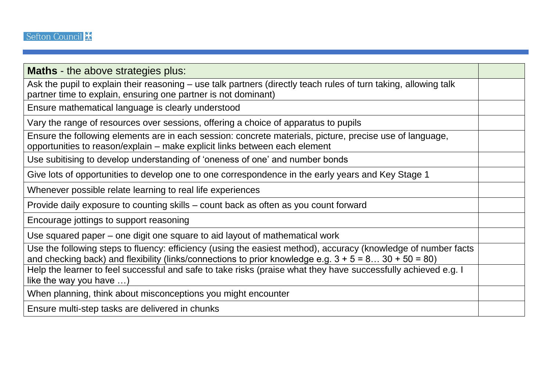| <b>Maths</b> - the above strategies plus:                                                                                                                                                                                 |  |
|---------------------------------------------------------------------------------------------------------------------------------------------------------------------------------------------------------------------------|--|
| Ask the pupil to explain their reasoning – use talk partners (directly teach rules of turn taking, allowing talk<br>partner time to explain, ensuring one partner is not dominant)                                        |  |
| Ensure mathematical language is clearly understood                                                                                                                                                                        |  |
| Vary the range of resources over sessions, offering a choice of apparatus to pupils                                                                                                                                       |  |
| Ensure the following elements are in each session: concrete materials, picture, precise use of language,<br>opportunities to reason/explain – make explicit links between each element                                    |  |
| Use subitising to develop understanding of 'oneness of one' and number bonds                                                                                                                                              |  |
| Give lots of opportunities to develop one to one correspondence in the early years and Key Stage 1                                                                                                                        |  |
| Whenever possible relate learning to real life experiences                                                                                                                                                                |  |
| Provide daily exposure to counting skills - count back as often as you count forward                                                                                                                                      |  |
| Encourage jottings to support reasoning                                                                                                                                                                                   |  |
| Use squared paper – one digit one square to aid layout of mathematical work                                                                                                                                               |  |
| Use the following steps to fluency: efficiency (using the easiest method), accuracy (knowledge of number facts<br>and checking back) and flexibility (links/connections to prior knowledge e.g. $3 + 5 = 830 + 50 = 80$ ) |  |
| Help the learner to feel successful and safe to take risks (praise what they have successfully achieved e.g. I<br>like the way you have $\ldots$ )                                                                        |  |
| When planning, think about misconceptions you might encounter                                                                                                                                                             |  |
| Ensure multi-step tasks are delivered in chunks                                                                                                                                                                           |  |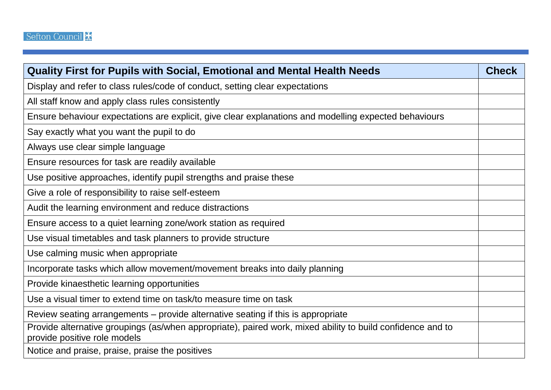| <b>Quality First for Pupils with Social, Emotional and Mental Health Needs</b>                                                             | <b>Check</b> |
|--------------------------------------------------------------------------------------------------------------------------------------------|--------------|
| Display and refer to class rules/code of conduct, setting clear expectations                                                               |              |
| All staff know and apply class rules consistently                                                                                          |              |
| Ensure behaviour expectations are explicit, give clear explanations and modelling expected behaviours                                      |              |
| Say exactly what you want the pupil to do                                                                                                  |              |
| Always use clear simple language                                                                                                           |              |
| Ensure resources for task are readily available                                                                                            |              |
| Use positive approaches, identify pupil strengths and praise these                                                                         |              |
| Give a role of responsibility to raise self-esteem                                                                                         |              |
| Audit the learning environment and reduce distractions                                                                                     |              |
| Ensure access to a quiet learning zone/work station as required                                                                            |              |
| Use visual timetables and task planners to provide structure                                                                               |              |
| Use calming music when appropriate                                                                                                         |              |
| Incorporate tasks which allow movement/movement breaks into daily planning                                                                 |              |
| Provide kinaesthetic learning opportunities                                                                                                |              |
| Use a visual timer to extend time on task/to measure time on task                                                                          |              |
| Review seating arrangements – provide alternative seating if this is appropriate                                                           |              |
| Provide alternative groupings (as/when appropriate), paired work, mixed ability to build confidence and to<br>provide positive role models |              |
| Notice and praise, praise, praise the positives                                                                                            |              |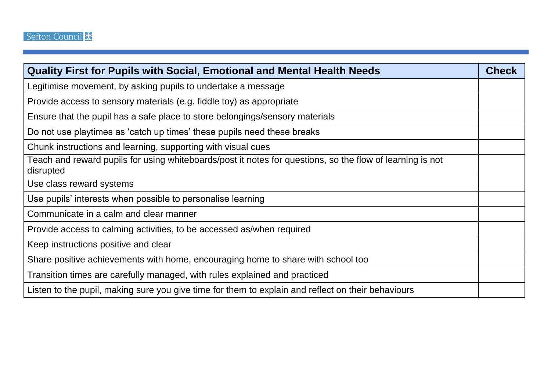| <b>Quality First for Pupils with Social, Emotional and Mental Health Needs</b>                                         | <b>Check</b> |
|------------------------------------------------------------------------------------------------------------------------|--------------|
| Legitimise movement, by asking pupils to undertake a message                                                           |              |
| Provide access to sensory materials (e.g. fiddle toy) as appropriate                                                   |              |
| Ensure that the pupil has a safe place to store belongings/sensory materials                                           |              |
| Do not use playtimes as 'catch up times' these pupils need these breaks                                                |              |
| Chunk instructions and learning, supporting with visual cues                                                           |              |
| Teach and reward pupils for using whiteboards/post it notes for questions, so the flow of learning is not<br>disrupted |              |
| Use class reward systems                                                                                               |              |
| Use pupils' interests when possible to personalise learning                                                            |              |
| Communicate in a calm and clear manner                                                                                 |              |
| Provide access to calming activities, to be accessed as/when required                                                  |              |
| Keep instructions positive and clear                                                                                   |              |
| Share positive achievements with home, encouraging home to share with school too                                       |              |
| Transition times are carefully managed, with rules explained and practiced                                             |              |
| Listen to the pupil, making sure you give time for them to explain and reflect on their behaviours                     |              |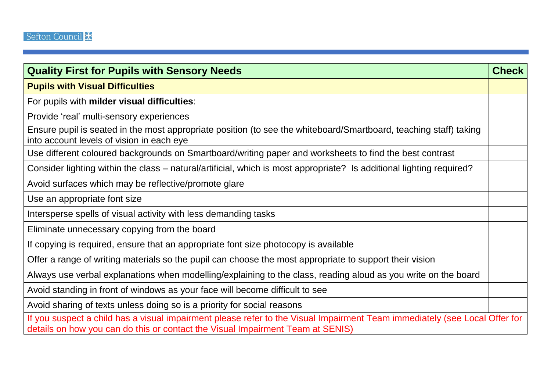| <b>Quality First for Pupils with Sensory Needs</b>                                                                                                                                                           | <b>Check</b> |
|--------------------------------------------------------------------------------------------------------------------------------------------------------------------------------------------------------------|--------------|
| <b>Pupils with Visual Difficulties</b>                                                                                                                                                                       |              |
| For pupils with milder visual difficulties:                                                                                                                                                                  |              |
| Provide 'real' multi-sensory experiences                                                                                                                                                                     |              |
| Ensure pupil is seated in the most appropriate position (to see the whiteboard/Smartboard, teaching staff) taking<br>into account levels of vision in each eye                                               |              |
| Use different coloured backgrounds on Smartboard/writing paper and worksheets to find the best contrast                                                                                                      |              |
| Consider lighting within the class – natural/artificial, which is most appropriate? Is additional lighting required?                                                                                         |              |
| Avoid surfaces which may be reflective/promote glare                                                                                                                                                         |              |
| Use an appropriate font size                                                                                                                                                                                 |              |
| Intersperse spells of visual activity with less demanding tasks                                                                                                                                              |              |
| Eliminate unnecessary copying from the board                                                                                                                                                                 |              |
| If copying is required, ensure that an appropriate font size photocopy is available                                                                                                                          |              |
| Offer a range of writing materials so the pupil can choose the most appropriate to support their vision                                                                                                      |              |
| Always use verbal explanations when modelling/explaining to the class, reading aloud as you write on the board                                                                                               |              |
| Avoid standing in front of windows as your face will become difficult to see                                                                                                                                 |              |
| Avoid sharing of texts unless doing so is a priority for social reasons                                                                                                                                      |              |
| If you suspect a child has a visual impairment please refer to the Visual Impairment Team immediately (see Local Offer for<br>details on how you can do this or contact the Visual Impairment Team at SENIS) |              |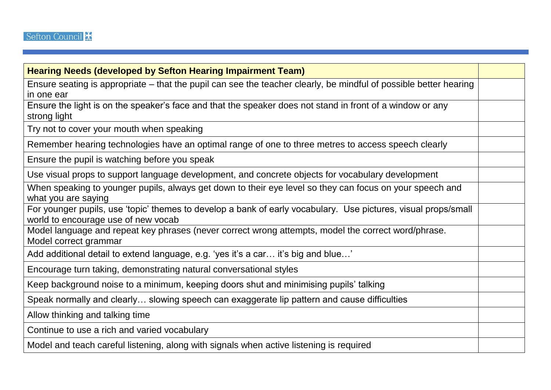| <b>Hearing Needs (developed by Sefton Hearing Impairment Team)</b>                                                                                    |  |
|-------------------------------------------------------------------------------------------------------------------------------------------------------|--|
| Ensure seating is appropriate – that the pupil can see the teacher clearly, be mindful of possible better hearing<br>in one ear                       |  |
| Ensure the light is on the speaker's face and that the speaker does not stand in front of a window or any<br>strong light                             |  |
| Try not to cover your mouth when speaking                                                                                                             |  |
| Remember hearing technologies have an optimal range of one to three metres to access speech clearly                                                   |  |
| Ensure the pupil is watching before you speak                                                                                                         |  |
| Use visual props to support language development, and concrete objects for vocabulary development                                                     |  |
| When speaking to younger pupils, always get down to their eye level so they can focus on your speech and<br>what you are saying                       |  |
| For younger pupils, use 'topic' themes to develop a bank of early vocabulary. Use pictures, visual props/small<br>world to encourage use of new vocab |  |
| Model language and repeat key phrases (never correct wrong attempts, model the correct word/phrase.<br>Model correct grammar                          |  |
| Add additional detail to extend language, e.g. 'yes it's a car it's big and blue'                                                                     |  |
| Encourage turn taking, demonstrating natural conversational styles                                                                                    |  |
| Keep background noise to a minimum, keeping doors shut and minimising pupils' talking                                                                 |  |
| Speak normally and clearly slowing speech can exaggerate lip pattern and cause difficulties                                                           |  |
| Allow thinking and talking time                                                                                                                       |  |
| Continue to use a rich and varied vocabulary                                                                                                          |  |
| Model and teach careful listening, along with signals when active listening is required                                                               |  |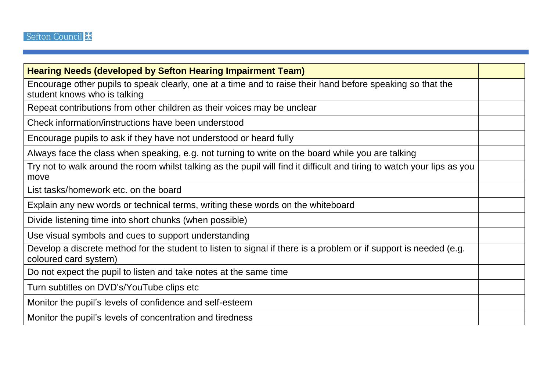| <b>Hearing Needs (developed by Sefton Hearing Impairment Team)</b>                                                                         |  |
|--------------------------------------------------------------------------------------------------------------------------------------------|--|
| Encourage other pupils to speak clearly, one at a time and to raise their hand before speaking so that the<br>student knows who is talking |  |
| Repeat contributions from other children as their voices may be unclear                                                                    |  |
| Check information/instructions have been understood                                                                                        |  |
| Encourage pupils to ask if they have not understood or heard fully                                                                         |  |
| Always face the class when speaking, e.g. not turning to write on the board while you are talking                                          |  |
| Try not to walk around the room whilst talking as the pupil will find it difficult and tiring to watch your lips as you<br>move            |  |
| List tasks/homework etc. on the board                                                                                                      |  |
| Explain any new words or technical terms, writing these words on the whiteboard                                                            |  |
| Divide listening time into short chunks (when possible)                                                                                    |  |
| Use visual symbols and cues to support understanding                                                                                       |  |
| Develop a discrete method for the student to listen to signal if there is a problem or if support is needed (e.g.<br>coloured card system) |  |
| Do not expect the pupil to listen and take notes at the same time                                                                          |  |
| Turn subtitles on DVD's/YouTube clips etc                                                                                                  |  |
| Monitor the pupil's levels of confidence and self-esteem                                                                                   |  |
| Monitor the pupil's levels of concentration and tiredness                                                                                  |  |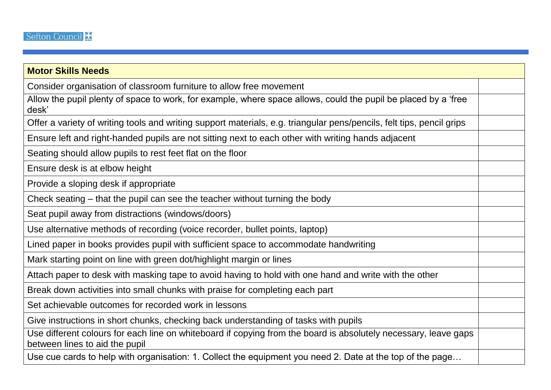| <b>Motor Skills Needs</b>                                                                                                                         |  |
|---------------------------------------------------------------------------------------------------------------------------------------------------|--|
| Consider organisation of classroom furniture to allow free movement                                                                               |  |
| Allow the pupil plenty of space to work, for example, where space allows, could the pupil be placed by a 'free<br>desk'                           |  |
| Offer a variety of writing tools and writing support materials, e.g. triangular pens/pencils, felt tips, pencil grips                             |  |
| Ensure left and right-handed pupils are not sitting next to each other with writing hands adjacent                                                |  |
| Seating should allow pupils to rest feet flat on the floor                                                                                        |  |
| Ensure desk is at elbow height                                                                                                                    |  |
| Provide a sloping desk if appropriate                                                                                                             |  |
| Check seating – that the pupil can see the teacher without turning the body                                                                       |  |
| Seat pupil away from distractions (windows/doors)                                                                                                 |  |
| Use alternative methods of recording (voice recorder, bullet points, laptop)                                                                      |  |
| Lined paper in books provides pupil with sufficient space to accommodate handwriting                                                              |  |
| Mark starting point on line with green dot/highlight margin or lines                                                                              |  |
| Attach paper to desk with masking tape to avoid having to hold with one hand and write with the other                                             |  |
| Break down activities into small chunks with praise for completing each part                                                                      |  |
| Set achievable outcomes for recorded work in lessons                                                                                              |  |
| Give instructions in short chunks, checking back understanding of tasks with pupils                                                               |  |
| Use different colours for each line on whiteboard if copying from the board is absolutely necessary, leave gaps<br>between lines to aid the pupil |  |
| Use cue cards to help with organisation: 1. Collect the equipment you need 2. Date at the top of the page                                         |  |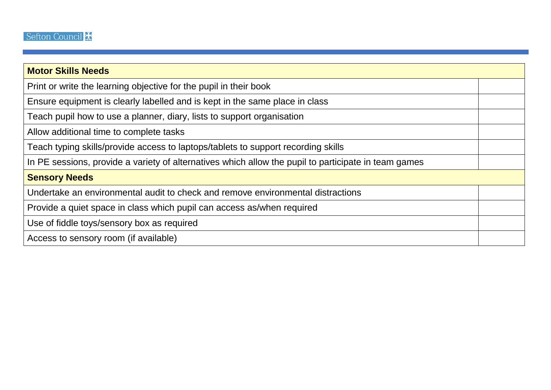| <b>Motor Skills Needs</b>                                                                            |  |
|------------------------------------------------------------------------------------------------------|--|
| Print or write the learning objective for the pupil in their book                                    |  |
| Ensure equipment is clearly labelled and is kept in the same place in class                          |  |
| Teach pupil how to use a planner, diary, lists to support organisation                               |  |
| Allow additional time to complete tasks                                                              |  |
| Teach typing skills/provide access to laptops/tablets to support recording skills                    |  |
| In PE sessions, provide a variety of alternatives which allow the pupil to participate in team games |  |
| <b>Sensory Needs</b>                                                                                 |  |
| Undertake an environmental audit to check and remove environmental distractions                      |  |
| Provide a quiet space in class which pupil can access as/when required                               |  |
| Use of fiddle toys/sensory box as required                                                           |  |
| Access to sensory room (if available)                                                                |  |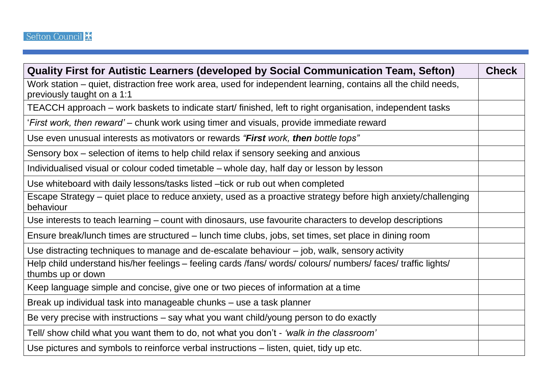| Quality First for Autistic Learners (developed by Social Communication Team, Sefton)                                                         | <b>Check</b> |
|----------------------------------------------------------------------------------------------------------------------------------------------|--------------|
| Work station – quiet, distraction free work area, used for independent learning, contains all the child needs,<br>previously taught on a 1:1 |              |
| TEACCH approach – work baskets to indicate start/ finished, left to right organisation, independent tasks                                    |              |
| 'First work, then reward' – chunk work using timer and visuals, provide immediate reward                                                     |              |
| Use even unusual interests as motivators or rewards "First work, then bottle tops"                                                           |              |
| Sensory box – selection of items to help child relax if sensory seeking and anxious                                                          |              |
| Individualised visual or colour coded timetable - whole day, half day or lesson by lesson                                                    |              |
| Use whiteboard with daily lessons/tasks listed -tick or rub out when completed                                                               |              |
| Escape Strategy – quiet place to reduce anxiety, used as a proactive strategy before high anxiety/challenging<br>behaviour                   |              |
| Use interests to teach learning – count with dinosaurs, use favourite characters to develop descriptions                                     |              |
| Ensure break/lunch times are structured – lunch time clubs, jobs, set times, set place in dining room                                        |              |
| Use distracting techniques to manage and de-escalate behaviour – job, walk, sensory activity                                                 |              |
| Help child understand his/her feelings – feeling cards /fans/ words/ colours/ numbers/ faces/ traffic lights/<br>thumbs up or down           |              |
| Keep language simple and concise, give one or two pieces of information at a time                                                            |              |
| Break up individual task into manageable chunks - use a task planner                                                                         |              |
| Be very precise with instructions - say what you want child/young person to do exactly                                                       |              |
| Tell/ show child what you want them to do, not what you don't - 'walk in the classroom'                                                      |              |
| Use pictures and symbols to reinforce verbal instructions – listen, quiet, tidy up etc.                                                      |              |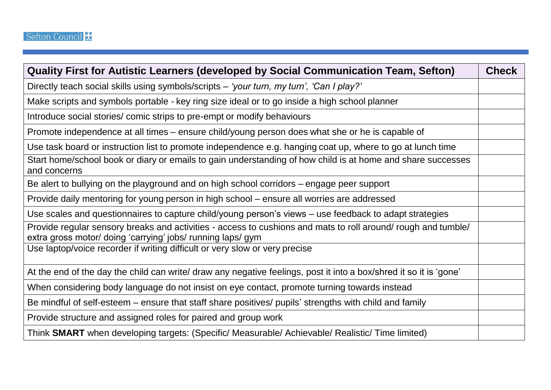| Quality First for Autistic Learners (developed by Social Communication Team, Sefton)                                                                                         | <b>Check</b> |
|------------------------------------------------------------------------------------------------------------------------------------------------------------------------------|--------------|
| Directly teach social skills using symbols/scripts – 'your turn, my turn', 'Can I play?'                                                                                     |              |
| Make scripts and symbols portable - key ring size ideal or to go inside a high school planner                                                                                |              |
| Introduce social stories/ comic strips to pre-empt or modify behaviours                                                                                                      |              |
| Promote independence at all times – ensure child/young person does what she or he is capable of                                                                              |              |
| Use task board or instruction list to promote independence e.g. hanging coat up, where to go at lunch time                                                                   |              |
| Start home/school book or diary or emails to gain understanding of how child is at home and share successes<br>and concerns                                                  |              |
| Be alert to bullying on the playground and on high school corridors – engage peer support                                                                                    |              |
| Provide daily mentoring for young person in high school – ensure all worries are addressed                                                                                   |              |
| Use scales and questionnaires to capture child/young person's views – use feedback to adapt strategies                                                                       |              |
| Provide regular sensory breaks and activities - access to cushions and mats to roll around/ rough and tumble/<br>extra gross motor/ doing 'carrying' jobs/ running laps/ gym |              |
| Use laptop/voice recorder if writing difficult or very slow or very precise                                                                                                  |              |
| At the end of the day the child can write/ draw any negative feelings, post it into a box/shred it so it is 'gone'                                                           |              |
| When considering body language do not insist on eye contact, promote turning towards instead                                                                                 |              |
| Be mindful of self-esteem – ensure that staff share positives/ pupils' strengths with child and family                                                                       |              |
| Provide structure and assigned roles for paired and group work                                                                                                               |              |
| Think SMART when developing targets: (Specific/ Measurable/ Achievable/ Realistic/ Time limited)                                                                             |              |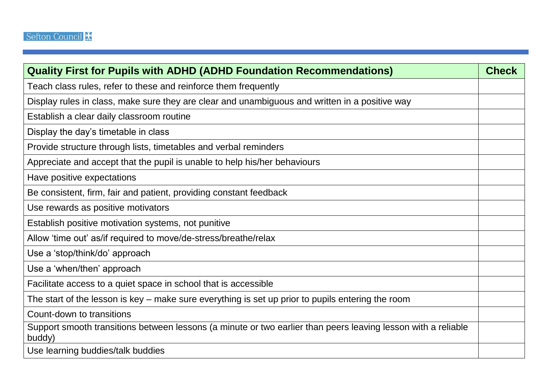| <b>Quality First for Pupils with ADHD (ADHD Foundation Recommendations)</b>                                             | <b>Check</b> |
|-------------------------------------------------------------------------------------------------------------------------|--------------|
| Teach class rules, refer to these and reinforce them frequently                                                         |              |
| Display rules in class, make sure they are clear and unambiguous and written in a positive way                          |              |
| Establish a clear daily classroom routine                                                                               |              |
| Display the day's timetable in class                                                                                    |              |
| Provide structure through lists, timetables and verbal reminders                                                        |              |
| Appreciate and accept that the pupil is unable to help his/her behaviours                                               |              |
| Have positive expectations                                                                                              |              |
| Be consistent, firm, fair and patient, providing constant feedback                                                      |              |
| Use rewards as positive motivators                                                                                      |              |
| Establish positive motivation systems, not punitive                                                                     |              |
| Allow 'time out' as/if required to move/de-stress/breathe/relax                                                         |              |
| Use a 'stop/think/do' approach                                                                                          |              |
| Use a 'when/then' approach                                                                                              |              |
| Facilitate access to a quiet space in school that is accessible                                                         |              |
| The start of the lesson is key – make sure everything is set up prior to pupils entering the room                       |              |
| Count-down to transitions                                                                                               |              |
| Support smooth transitions between lessons (a minute or two earlier than peers leaving lesson with a reliable<br>buddy) |              |
| Use learning buddies/talk buddies                                                                                       |              |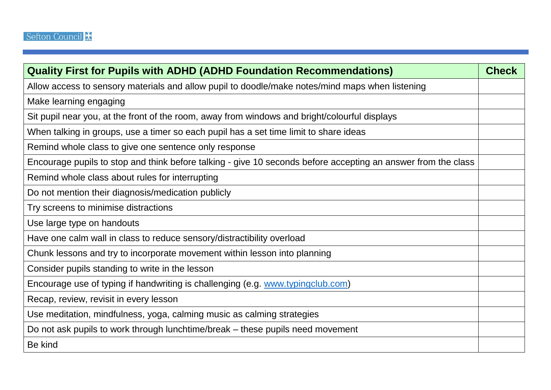| <b>Quality First for Pupils with ADHD (ADHD Foundation Recommendations)</b>                                   | <b>Check</b> |
|---------------------------------------------------------------------------------------------------------------|--------------|
| Allow access to sensory materials and allow pupil to doodle/make notes/mind maps when listening               |              |
| Make learning engaging                                                                                        |              |
| Sit pupil near you, at the front of the room, away from windows and bright/colourful displays                 |              |
| When talking in groups, use a timer so each pupil has a set time limit to share ideas                         |              |
| Remind whole class to give one sentence only response                                                         |              |
| Encourage pupils to stop and think before talking - give 10 seconds before accepting an answer from the class |              |
| Remind whole class about rules for interrupting                                                               |              |
| Do not mention their diagnosis/medication publicly                                                            |              |
| Try screens to minimise distractions                                                                          |              |
| Use large type on handouts                                                                                    |              |
| Have one calm wall in class to reduce sensory/distractibility overload                                        |              |
| Chunk lessons and try to incorporate movement within lesson into planning                                     |              |
| Consider pupils standing to write in the lesson                                                               |              |
| Encourage use of typing if handwriting is challenging (e.g. www.typingclub.com)                               |              |
| Recap, review, revisit in every lesson                                                                        |              |
| Use meditation, mindfulness, yoga, calming music as calming strategies                                        |              |
| Do not ask pupils to work through lunchtime/break – these pupils need movement                                |              |
| Be kind                                                                                                       |              |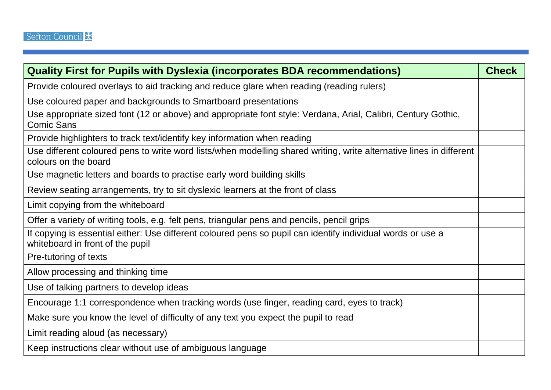| <b>Quality First for Pupils with Dyslexia (incorporates BDA recommendations)</b>                                                                | <b>Check</b> |
|-------------------------------------------------------------------------------------------------------------------------------------------------|--------------|
| Provide coloured overlays to aid tracking and reduce glare when reading (reading rulers)                                                        |              |
| Use coloured paper and backgrounds to Smartboard presentations                                                                                  |              |
| Use appropriate sized font (12 or above) and appropriate font style: Verdana, Arial, Calibri, Century Gothic,<br><b>Comic Sans</b>              |              |
| Provide highlighters to track text/identify key information when reading                                                                        |              |
| Use different coloured pens to write word lists/when modelling shared writing, write alternative lines in different<br>colours on the board     |              |
| Use magnetic letters and boards to practise early word building skills                                                                          |              |
| Review seating arrangements, try to sit dyslexic learners at the front of class                                                                 |              |
| Limit copying from the whiteboard                                                                                                               |              |
| Offer a variety of writing tools, e.g. felt pens, triangular pens and pencils, pencil grips                                                     |              |
| If copying is essential either: Use different coloured pens so pupil can identify individual words or use a<br>whiteboard in front of the pupil |              |
| Pre-tutoring of texts                                                                                                                           |              |
| Allow processing and thinking time                                                                                                              |              |
| Use of talking partners to develop ideas                                                                                                        |              |
| Encourage 1:1 correspondence when tracking words (use finger, reading card, eyes to track)                                                      |              |
| Make sure you know the level of difficulty of any text you expect the pupil to read                                                             |              |
| Limit reading aloud (as necessary)                                                                                                              |              |
| Keep instructions clear without use of ambiguous language                                                                                       |              |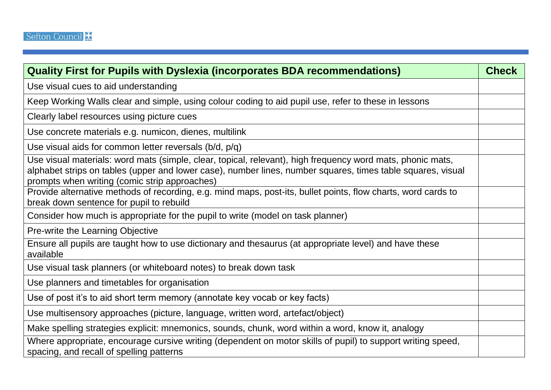| <b>Quality First for Pupils with Dyslexia (incorporates BDA recommendations)</b>                                                                                                                                                                                           | <b>Check</b> |
|----------------------------------------------------------------------------------------------------------------------------------------------------------------------------------------------------------------------------------------------------------------------------|--------------|
| Use visual cues to aid understanding                                                                                                                                                                                                                                       |              |
| Keep Working Walls clear and simple, using colour coding to aid pupil use, refer to these in lessons                                                                                                                                                                       |              |
| Clearly label resources using picture cues                                                                                                                                                                                                                                 |              |
| Use concrete materials e.g. numicon, dienes, multilink                                                                                                                                                                                                                     |              |
| Use visual aids for common letter reversals ( $b/d$ , $p/q$ )                                                                                                                                                                                                              |              |
| Use visual materials: word mats (simple, clear, topical, relevant), high frequency word mats, phonic mats,<br>alphabet strips on tables (upper and lower case), number lines, number squares, times table squares, visual<br>prompts when writing (comic strip approaches) |              |
| Provide alternative methods of recording, e.g. mind maps, post-its, bullet points, flow charts, word cards to<br>break down sentence for pupil to rebuild                                                                                                                  |              |
| Consider how much is appropriate for the pupil to write (model on task planner)                                                                                                                                                                                            |              |
| Pre-write the Learning Objective                                                                                                                                                                                                                                           |              |
| Ensure all pupils are taught how to use dictionary and thesaurus (at appropriate level) and have these<br>available                                                                                                                                                        |              |
| Use visual task planners (or whiteboard notes) to break down task                                                                                                                                                                                                          |              |
| Use planners and timetables for organisation                                                                                                                                                                                                                               |              |
| Use of post it's to aid short term memory (annotate key vocab or key facts)                                                                                                                                                                                                |              |
| Use multisensory approaches (picture, language, written word, artefact/object)                                                                                                                                                                                             |              |
| Make spelling strategies explicit: mnemonics, sounds, chunk, word within a word, know it, analogy                                                                                                                                                                          |              |
| Where appropriate, encourage cursive writing (dependent on motor skills of pupil) to support writing speed,<br>spacing, and recall of spelling patterns                                                                                                                    |              |